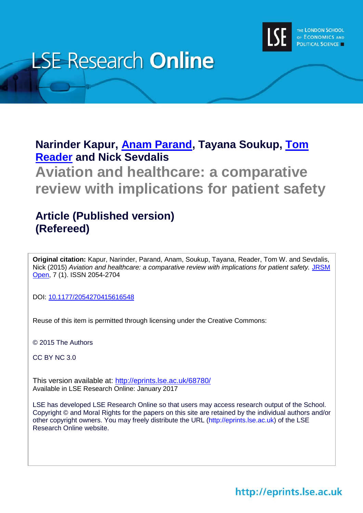

# **LSE Research Online**

# **Narinder Kapur, [Anam Parand,](mailto:http://www.lse.ac.uk/researchAndExpertise/Experts/profile.aspx?KeyValue=a.parand@lse.ac.uk) Tayana Soukup, [Tom](mailto:http://www.lse.ac.uk/researchAndExpertise/Experts/profile.aspx?KeyValue=t.w.reader@lse.ac.uk)  [Reader](mailto:http://www.lse.ac.uk/researchAndExpertise/Experts/profile.aspx?KeyValue=t.w.reader@lse.ac.uk) and Nick Sevdalis**

**Aviation and healthcare: a comparative review with implications for patient safety**

# **Article (Published version) (Refereed)**

**Original citation:** Kapur, Narinder, Parand, Anam, Soukup, Tayana, Reader, Tom W. and Sevdalis, Nick (2015) *Aviation and healthcare: a comparative review with implications for patient safety.* [JRSM](mailto:http://journals.sagepub.com/home/shr)  [Open,](mailto:http://journals.sagepub.com/home/shr) 7 (1). ISSN 2054-2704

DOI: [10.1177/2054270415616548](mailto:http://dx.doi.org/10.1177/2054270415616548)

Reuse of this item is permitted through licensing under the Creative Commons:

© 2015 The Authors

CC BY NC 3.0

This version available at: <http://eprints.lse.ac.uk/68780/> Available in LSE Research Online: January 2017

LSE has developed LSE Research Online so that users may access research output of the School. Copyright © and Moral Rights for the papers on this site are retained by the individual authors and/or other copyright owners. You may freely distribute the URL (http://eprints.lse.ac.uk) of the LSE Research Online website.

http://eprints.lse.ac.uk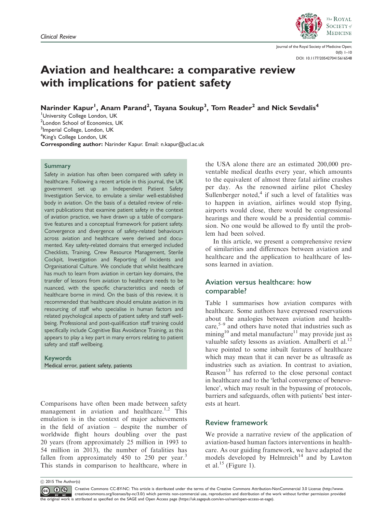

Journal of the Royal Society of Medicine Open;  $0(0)$  1–10 DOI: 10.1177/2054270415616548

# Aviation and healthcare: a comparative review with implications for patient safety

Narinder Kapur<sup>1</sup>, Anam Parand<sup>2</sup>, Tayana Soukup<sup>3</sup>, Tom Reader<sup>2</sup> and Nick Sevdalis<sup>4</sup>

<sup>1</sup>University College London, UK <sup>2</sup> London School of Economics, UK <sup>3</sup>Imperial College, London, UK 4 King's College London, UK Corresponding author: Narinder Kapur. Email: n.kapur@ucl.ac.uk

### **Summary**

Safety in aviation has often been compared with safety in healthcare. Following a recent article in this journal, the UK government set up an Independent Patient Safety Investigation Service, to emulate a similar well-established body in aviation. On the basis of a detailed review of relevant publications that examine patient safety in the context of aviation practice, we have drawn up a table of comparative features and a conceptual framework for patient safety. Convergence and divergence of safety-related behaviours across aviation and healthcare were derived and documented. Key safety-related domains that emerged included Checklists, Training, Crew Resource Management, Sterile Cockpit, Investigation and Reporting of Incidents and Organisational Culture. We conclude that whilst healthcare has much to learn from aviation in certain key domains, the transfer of lessons from aviation to healthcare needs to be nuanced, with the specific characteristics and needs of healthcare borne in mind. On the basis of this review, it is recommended that healthcare should emulate aviation in its resourcing of staff who specialise in human factors and related psychological aspects of patient safety and staff wellbeing. Professional and post-qualification staff training could specifically include Cognitive Bias Avoidance Training, as this appears to play a key part in many errors relating to patient safety and staff wellbeing.

Keywords Medical error, patient safety, patients

Comparisons have often been made between safety management in aviation and healthcare.<sup>1,2</sup> This emulation is in the context of major achievements in the field of aviation – despite the number of worldwide flight hours doubling over the past 20 years (from approximately 25 million in 1993 to 54 million in 2013), the number of fatalities has fallen from approximately 450 to 250 per year.<sup>3</sup> This stands in comparison to healthcare, where in

the USA alone there are an estimated 200,000 preventable medical deaths every year, which amounts to the equivalent of almost three fatal airline crashes per day. As the renowned airline pilot Chesley Sullenberger noted, $4$  if such a level of fatalities was to happen in aviation, airlines would stop flying, airports would close, there would be congressional hearings and there would be a presidential commission. No one would be allowed to fly until the problem had been solved.

In this article, we present a comprehensive review of similarities and differences between aviation and healthcare and the application to healthcare of lessons learned in aviation.

# Aviation versus healthcare: how comparable?

Table 1 summarises how aviation compares with healthcare. Some authors have expressed reservations about the analogies between aviation and healthcare,  $5-9$  and others have noted that industries such as mining<sup>10</sup> and metal manufacture<sup>11</sup> may provide just as valuable safety lessons as aviation. Amalberti et al.<sup>12</sup> have pointed to some inbuilt features of healthcare which may mean that it can never be as ultrasafe as industries such as aviation. In contrast to aviation, Reason<sup>13</sup> has referred to the close personal contact in healthcare and to the 'lethal convergence of benevolence', which may result in the bypassing of protocols, barriers and safeguards, often with patients' best interests at heart.

# Review framework

We provide a narrative review of the application of aviation-based human factors interventions in healthcare. As our guiding framework, we have adapted the models developed by Helmreich<sup>14</sup> and by Lawton et al. $15$  (Figure 1).

Creative Commons CC-BY-NC: This article is distributed under the terms of the Creative Commons Attribution-NonCommercial 3.0 License ([http://www.](http://www.creativecommons.org/licenses/by-nc/3.0/)<br>[creativecommons.org/licenses/by-nc/3.0/](http://www.creativecommons.org/licenses/by-nc/3.0/)) which permits non-commercial use, r the original work is attributed as specified on the SAGE and Open Access page ([https://uk.sagepub.com/en-us/nam/open-access-at-sage\)](http://www.uk.sagepub.com/aboutus/openaccess.htm).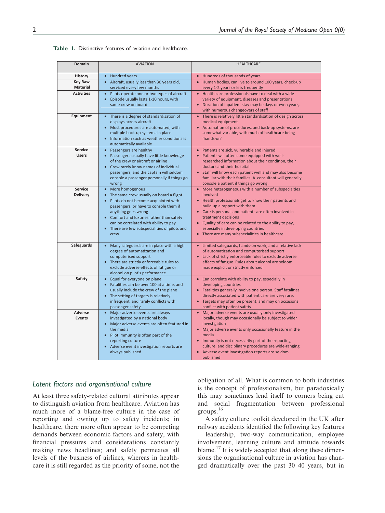| <b>Domain</b>                     | <b>AVIATION</b>                                                                                                                                                                                                                                                                                                                     | <b>HEALTHCARE</b>                                                                                                                                                                                                                                                                                                                                                                                        |
|-----------------------------------|-------------------------------------------------------------------------------------------------------------------------------------------------------------------------------------------------------------------------------------------------------------------------------------------------------------------------------------|----------------------------------------------------------------------------------------------------------------------------------------------------------------------------------------------------------------------------------------------------------------------------------------------------------------------------------------------------------------------------------------------------------|
| <b>History</b>                    | • Hundred years                                                                                                                                                                                                                                                                                                                     | • Hundreds of thousands of years                                                                                                                                                                                                                                                                                                                                                                         |
| <b>Key Raw</b>                    | • Aircraft, usually less than 30 years old,                                                                                                                                                                                                                                                                                         | Human bodies, can live to around 100 years, check-up<br>$\bullet$                                                                                                                                                                                                                                                                                                                                        |
| <b>Material</b>                   | serviced every few months                                                                                                                                                                                                                                                                                                           | every 1-2 years or less frequently                                                                                                                                                                                                                                                                                                                                                                       |
| <b>Activities</b>                 | Pilots operate one or two types of aircraft<br>$\bullet$<br>Episode usually lasts 1-10 hours, with<br>$\bullet$<br>same crew on board                                                                                                                                                                                               | • Health care professionals have to deal with a wide<br>variety of equipment, diseases and presentations<br>• Duration of inpatient stay may be days or even years,<br>with numerous changeovers of staff                                                                                                                                                                                                |
| Equipment                         | • There is a degree of standardisation of<br>displays across aircraft<br>• Most procedures are automated, with<br>multiple back-up systems in place<br>• Information such as weather conditions is<br>automatically available                                                                                                       | • There is relatively little standardisation of design across<br>medical equipment<br>• Automation of procedures, and back-up systems, are<br>somewhat variable, with much of healthcare being<br>'hands-on'                                                                                                                                                                                             |
| <b>Service</b><br><b>Users</b>    | • Passengers are healthy<br>• Passengers usually have little knowledge<br>of the crew or aircraft or airline<br>• Crew rarely know names of individual<br>passengers, and the captain will seldom<br>console a passenger personally if things go<br>wrong                                                                           | Patients are sick, vulnerable and injured<br>$\bullet$<br>$\bullet$<br>Patients will often come equipped with well-<br>researched information about their condition, their<br>doctors and their hospital<br>• Staff will know each patient well and may also become<br>familiar with their families. A consultant will generally<br>console a patient if things go wrong.                                |
| <b>Service</b><br><b>Delivery</b> | More homogenous<br>$\bullet$<br>• The same crew usually on board a flight<br>• Pilots do not become acquainted with<br>passengers, or have to console them if<br>anything goes wrong<br>• Comfort and luxuries rather than safety<br>can be correlated with ability to pay<br>• There are few subspecialities of pilots and<br>crew | • More heterogeneous with a number of subspecialties<br>involved<br>• Health professionals get to know their patients and<br>build up a rapport with them<br>• Care is personal and patients are often involved in<br>treatment decisions<br>• Quality of care can be related to the ability to pay,<br>especially in developing countries<br>• There are many subspecialities in healthcare             |
| <b>Safeguards</b>                 | Many safeguards are in place with a high<br>$\bullet$<br>degree of automatization and<br>computerised support<br>• There are strictly enforceable rules to<br>exclude adverse effects of fatigue or<br>alcohol on pilot's performance                                                                                               | • Limited safeguards, hands-on work, and a relative lack<br>of automatization and computerised support<br>• Lack of strictly enforceable rules to exclude adverse<br>effects of fatigue. Rules about alcohol are seldom<br>made explicit or strictly enforced.                                                                                                                                           |
| <b>Safety</b>                     | • Equal for everyone on plane<br>• Fatalities can be over 100 at a time, and<br>usually include the crew of the plane<br>• The setting of targets is relatively<br>infrequent, and rarely conflicts with<br>passenger safety                                                                                                        | • Can correlate with ability to pay, especially in<br>developing countries<br>• Fatalities generally involve one person. Staff fatalities<br>directly associated with patient care are very rare.<br>• Targets may often be present, and may on occasions<br>conflict with patient safety                                                                                                                |
| <b>Adverse</b><br><b>Events</b>   | Major adverse events are always<br>$\bullet$<br>investigated by a national body<br>• Major adverse events are often featured in<br>the media<br>• Pilot immunity is often part of the<br>reporting culture<br>• Adverse event investigation reports are<br>always published                                                         | Major adverse events are usually only investigated<br>$\bullet$<br>locally, though may occasionally be subject to wider<br>investigation<br>• Major adverse events only occasionally feature in the<br>media<br>• Immunity is not necessarily part of the reporting<br>culture, and disciplinary procedures are wide-ranging<br>Adverse event investigation reports are seldom<br>$\bullet$<br>published |

#### Table 1. Distinctive features of aviation and healthcare.

## Latent factors and organisational culture

At least three safety-related cultural attributes appear to distinguish aviation from healthcare. Aviation has much more of a blame-free culture in the case of reporting and owning up to safety incidents; in healthcare, there more often appear to be competing demands between economic factors and safety, with financial pressures and considerations constantly making news headlines; and safety permeates all levels of the business of airlines, whereas in healthcare it is still regarded as the priority of some, not the obligation of all. What is common to both industries is the concept of professionalism, but paradoxically this may sometimes lend itself to corners being cut and social fragmentation between professional groups.16

A safety culture toolkit developed in the UK after railway accidents identified the following key features – leadership, two-way communication, employee involvement, learning culture and attitude towards blame.<sup>17</sup> It is widely accepted that along these dimensions the organisational culture in aviation has changed dramatically over the past 30–40 years, but in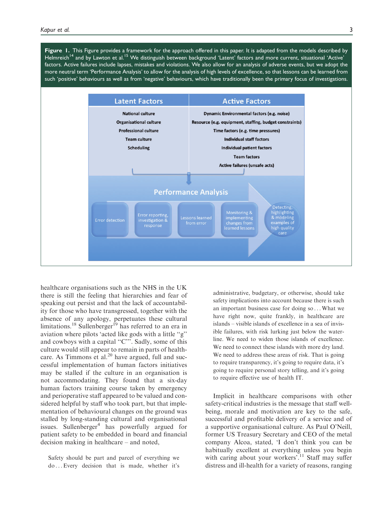Figure 1. This Figure provides a framework for the approach offered in this paper. It is adapted from the models described by Helmreich<sup>14</sup> and by Lawton et al.<sup>15</sup> We distinguish between background 'Latent' factors and more current, situational 'Active' factors. Active failures include lapses, mistakes and violations. We also allow for an analysis of adverse events, but we adopt the more neutral term 'Performance Analysis' to allow for the analysis of high levels of excellence, so that lessons can be learned from such 'positive' behaviours as well as from 'negative' behaviours, which have traditionally been the primary focus of investigations.



healthcare organisations such as the NHS in the UK there is still the feeling that hierarchies and fear of speaking out persist and that the lack of accountability for those who have transgressed, together with the absence of any apology, perpetuates these cultural limitations.<sup>18</sup> Sullenberger<sup>19</sup> has referred to an era in aviation where pilots 'acted like gods with a little ''g'' and cowboys with a capital "C"". Sadly, some of this culture would still appear to remain in parts of healthcare. As Timmons et al. $^{20}$  have argued, full and successful implementation of human factors initiatives may be stalled if the culture in an organisation is not accommodating. They found that a six-day human factors training course taken by emergency and perioperative staff appeared to be valued and considered helpful by staff who took part, but that implementation of behavioural changes on the ground was stalled by long-standing cultural and organisational issues. Sullenberger<sup>4</sup> has powerfully argued for patient safety to be embedded in board and financial decision making in healthcare – and noted,

Safety should be part and parcel of everything we do ... Every decision that is made, whether it's administrative, budgetary, or otherwise, should take safety implications into account because there is such an important business case for doing so ... What we have right now, quite frankly, in healthcare are islands – visible islands of excellence in a sea of invisible failures, with risk lurking just below the waterline. We need to widen those islands of excellence. We need to connect these islands with more dry land. We need to address these areas of risk. That is going to require transparency, it's going to require data, it's going to require personal story telling, and it's going to require effective use of health IT.

Implicit in healthcare comparisons with other safety-critical industries is the message that staff wellbeing, morale and motivation are key to the safe, successful and profitable delivery of a service and of a supportive organisational culture. As Paul O'Neill, former US Treasury Secretary and CEO of the metal company Alcoa, stated, 'I don't think you can be habitually excellent at everything unless you begin with caring about your workers'.<sup>11</sup> Staff may suffer distress and ill-health for a variety of reasons, ranging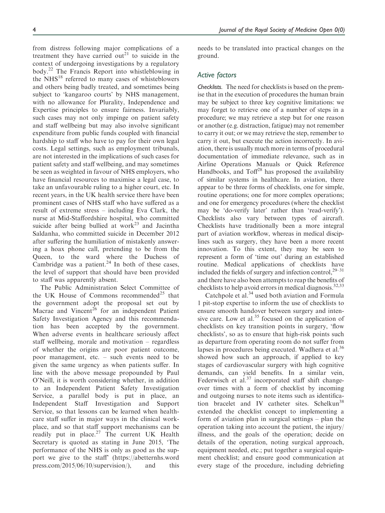from distress following major complications of a treatment they have carried out<sup>21</sup> to suicide in the context of undergoing investigations by a regulatory body.22 The Francis Report into whistleblowing in the  $N<sup>18</sup>$  referred to many cases of whisteblowers and others being badly treated, and sometimes being subject to 'kangaroo courts' by NHS management, with no allowance for Plurality, Independence and Expertise principles to ensure fairness. Invariably, such cases may not only impinge on patient safety and staff wellbeing but may also involve significant expenditure from public funds coupled with financial hardship to staff who have to pay for their own legal costs. Legal settings, such as employment tribunals, are not interested in the implications of such cases for patient safety and staff wellbeing, and may sometimes be seen as weighted in favour of NHS employers, who have financial resources to maximise a legal case, to take an unfavourable ruling to a higher court, etc. In recent years, in the UK health service there have been prominent cases of NHS staff who have suffered as a result of extreme stress – including Eva Clark, the nurse at Mid-Staffordshire hospital, who committed suicide after being bullied at work $^{23}$  and Jacintha Saldanha, who committed suicide in December 2012 after suffering the humiliation of mistakenly answering a hoax phone call, pretending to be from the Queen, to the ward where the Duchess of Cambridge was a patient. $^{24}$  In both of these cases, the level of support that should have been provided to staff was apparently absent.

The Public Administration Select Committee of the UK House of Commons recommended<sup>25</sup> that the government adopt the proposal set out by Macrae and Vincent<sup>26</sup> for an independent Patient Safety Investigation Agency and this recommendation has been accepted by the government. When adverse events in healthcare seriously affect staff wellbeing, morale and motivation – regardless of whether the origins are poor patient outcome, poor management, etc. – such events need to be given the same urgency as when patients suffer. In line with the above message propounded by Paul O'Neill, it is worth considering whether, in addition to an Independent Patient Safety Investigation Service, a parallel body is put in place, an Independent Staff Investigation and Support Service, so that lessons can be learned when healthcare staff suffer in major ways in the clinical workplace, and so that staff support mechanisms can be readily put in place.<sup>27</sup> The current UK Health Secretary is quoted as stating in June 2015, 'The performance of the NHS is only as good as the support we give to the staff' [\(https://abetternhs.word](https://abetternhs.wordpress.com/2015/06/10/supervision/) [press.com/2015/06/10/supervision/](https://abetternhs.wordpress.com/2015/06/10/supervision/)), and this needs to be translated into practical changes on the ground.

#### Active factors

Checklists. The need for checklists is based on the premise that in the execution of procedures the human brain may be subject to three key cognitive limitations: we may forget to retrieve one of a number of steps in a procedure; we may retrieve a step but for one reason or another (e.g. distraction, fatigue) may not remember to carry it out; or we may retrieve the step, remember to carry it out, but execute the action incorrectly. In aviation, there is usually much more in terms of procedural documentation of immediate relevance, such as in Airline Operations Manuals or Quick Reference Handbooks, and  $T\circ f^{28}$  has proposed the availability of similar systems in healthcare. In aviation, there appear to be three forms of checklists, one for simple, routine operations; one for more complex operations; and one for emergency procedures (where the checklist may be 'do-verify later' rather than 'read-verify'). Checklists also vary between types of aircraft. Checklists have traditionally been a more integral part of aviation workflow, whereas in medical disciplines such as surgery, they have been a more recent innovation. To this extent, they may be seen to represent a form of 'time out' during an established routine. Medical applications of checklists have included the fields of surgery and infection control,  $29-31$ and there have also been attempts to reap the benefits of checklists to help avoid errors in medical diagnosis.<sup>32,33</sup>

Catchpole et al.<sup>34</sup> used both aviation and Formula 1 pit-stop expertise to inform the use of checklists to ensure smooth handover between surgery and intensive care. Low et al.<sup>35</sup> focused on the application of checklists on key transition points in surgery, 'flow checklists', so as to ensure that high-risk points such as departure from operating room do not suffer from lapses in procedures being executed. Wadhera et al.<sup>36</sup> showed how such an approach, if applied to key stages of cardiovascular surgery with high cognitive demands, can yield benefits. In a similar vein, Federwisch et al. $37$  incorporated staff shift changeover times with a form of checklist by incoming and outgoing nurses to note items such as identification bracelet and IV catheter sites. Schelkun<sup>38</sup> extended the checklist concept to implementing a form of aviation plan in surgical settings – plan the operation taking into account the patient, the injury/ illness, and the goals of the operation; decide on details of the operation, noting surgical approach, equipment needed, etc.; put together a surgical equipment checklist; and ensure good communication at every stage of the procedure, including debriefing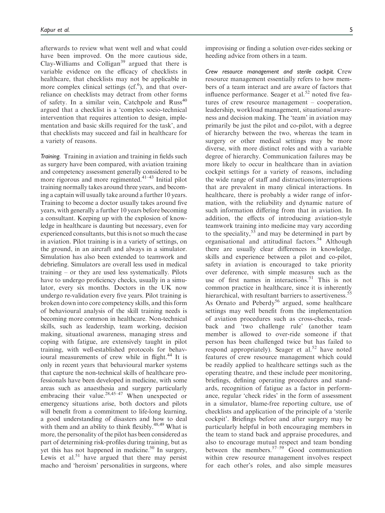afterwards to review what went well and what could have been improved. On the more cautious side, Clay-Williams and Colligan<sup>39</sup> argued that there is variable evidence on the efficacy of checklists in healthcare, that checklists may not be applicable in more complex clinical settings  $(cf.<sup>6</sup>)$ , and that overreliance on checklists may detract from other forms of safety. In a similar vein, Catchpole and Russ<sup>40</sup> argued that a checklist is a 'complex socio-technical intervention that requires attention to design, implementation and basic skills required for the task', and that checklists may succeed and fail in healthcare for a variety of reasons.

Training. Training in aviation and training in fields such as surgery have been compared, with aviation training and competency assessment generally considered to be more rigorous and more regimented.<sup>41-43</sup> Initial pilot training normally takes around three years, and becoming a captain will usually take around a further 10 years. Training to become a doctor usually takes around five years, with generally a further 10 years before becoming a consultant. Keeping up with the explosion of knowledge in healthcare is daunting but necessary, even for experienced consultants, but this is not so much the case in aviation. Pilot training is in a variety of settings, on the ground, in an aircraft and always in a simulator. Simulation has also been extended to teamwork and debriefing. Simulators are overall less used in medical training – or they are used less systematically. Pilots have to undergo proficiency checks, usually in a simulator, every six months. Doctors in the UK now undergo re-validation every five years. Pilot training is broken down into core competency skills, and this form of behavioural analysis of the skill training needs is becoming more common in healthcare. Non-technical skills, such as leadership, team working, decision making, situational awareness, managing stress and coping with fatigue, are extensively taught in pilot training, with well-established protocols for behavioural measurements of crew while in flight.<sup>44</sup> It is only in recent years that behavioural marker systems that capture the non-technical skills of healthcare professionals have been developed in medicine, with some areas such as anaesthesia and surgery particularly embracing their value.<sup>28,45–47</sup> When unexpected or emergency situations arise, both doctors and pilots will benefit from a commitment to life-long learning, a good understanding of disasters and how to deal with them and an ability to think flexibly. $48,49$  What is more, the personality of the pilot has been considered as part of determining risk-profiles during training, but as yet this has not happened in medicine.<sup>50</sup> In surgery, Lewis et al.<sup>51</sup> have argued that there may persist macho and 'heroism' personalities in surgeons, where

improvising or finding a solution over-rides seeking or heeding advice from others in a team.

Crew resource management and sterile cockpit. Crew resource management essentially refers to how members of a team interact and are aware of factors that influence performance. Seager et al. $52$  noted five features of crew resource management – cooperation, leadership, workload management, situational awareness and decision making. The 'team' in aviation may primarily be just the pilot and co-pilot, with a degree of hierarchy between the two, whereas the team in surgery or other medical settings may be more diverse, with more distinct roles and with a variable degree of hierarchy. Communication failures may be more likely to occur in healthcare than in aviation cockpit settings for a variety of reasons, including the wide range of staff and distractions/interruptions that are prevalent in many clinical interactions. In healthcare, there is probably a wider range of information, with the reliability and dynamic nature of such information differing from that in aviation. In addition, the effects of introducing aviation-style teamwork training into medicine may vary according to the speciality,  $53$  and may be determined in part by organisational and attitudinal factors.<sup>54</sup> Although there are usually clear differences in knowledge, skills and experience between a pilot and co-pilot, safety in aviation is encouraged to take priority over deference, with simple measures such as the use of first names in interactions.<sup>51</sup> This is not common practice in healthcare, since it is inherently hierarchical, with resultant barriers to assertiveness.<sup>55</sup> As Ornato and Peberdy<sup>56</sup> argued, some healthcare settings may well benefit from the implementation of aviation procedures such as cross-checks, readback and 'two challenge rule' (another team member is allowed to over-ride someone if that person has been challenged twice but has failed to respond appropriately). Seager et al. $52$  have noted features of crew resource management which could be readily applied to healthcare settings such as the operating theatre, and these include peer monitoring, briefings, defining operating procedures and standards, recognition of fatigue as a factor in performance, regular 'check rides' in the form of assessment in a simulator, blame-free reporting culture, use of checklists and application of the principle of a 'sterile cockpit'. Briefings before and after surgery may be particularly helpful in both encouraging members in the team to stand back and appraise procedures, and also to encourage mutual respect and team bonding between the members.<sup>57–59</sup> Good communication within crew resource management involves respect for each other's roles, and also simple measures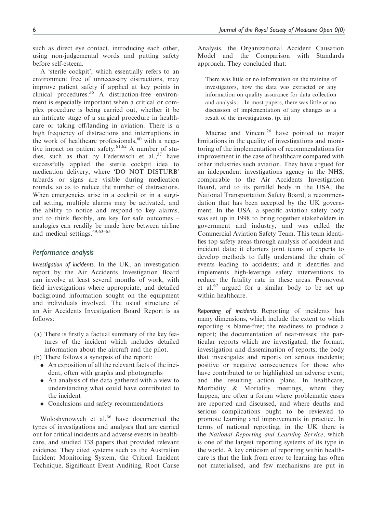such as direct eye contact, introducing each other, using non-judgemental words and putting safety before self-esteem.

A 'sterile cockpit', which essentially refers to an environment free of unnecessary distractions, may improve patient safety if applied at key points in clinical procedures. $36$  A distraction-free environment is especially important when a critical or complex procedure is being carried out, whether it be an intricate stage of a surgical procedure in healthcare or taking off/landing in aviation. There is a high frequency of distractions and interruptions in the work of healthcare professionals,<sup>60</sup> with a negative impact on patient safety.<sup>61,62</sup> A number of studies, such as that by Federwisch et al.,  $37$  have successfully applied the sterile cockpit idea to medication delivery, where 'DO NOT DISTURB' tabards or signs are visible during medication rounds, so as to reduce the number of distractions. When emergencies arise in a cockpit or in a surgical setting, multiple alarms may be activated, and the ability to notice and respond to key alarms, and to think flexibly, are key for safe outcomes – analogies can readily be made here between airline and medical settings.49,63–65

# Performance analysis

Investigation of incidents. In the UK, an investigation report by the Air Accidents Investigation Board can involve at least several months of work, with field investigations where appropriate, and detailed background information sought on the equipment and individuals involved. The usual structure of an Air Accidents Investigation Board Report is as follows:

- (a) There is firstly a factual summary of the key features of the incident which includes detailed information about the aircraft and the pilot.
- (b) There follows a synopsis of the report:
	- . An exposition of all the relevant facts of the incident, often with graphs and photographs
	- . An analysis of the data gathered with a view to understanding what could have contributed to the incident
	- . Conclusions and safety recommendations

Woloshynowych et al.<sup>66</sup> have documented the types of investigations and analyses that are carried out for critical incidents and adverse events in healthcare, and studied 138 papers that provided relevant evidence. They cited systems such as the Australian Incident Monitoring System, the Critical Incident Technique, Significant Event Auditing, Root Cause Analysis, the Organizational Accident Causation Model and the Comparison with Standards approach. They concluded that:

There was little or no information on the training of investigators, how the data was extracted or any information on quality assurance for data collection and analysis...In most papers, there was little or no discussion of implementation of any changes as a result of the investigations. (p. iii)

Macrae and Vincent<sup>26</sup> have pointed to major limitations in the quality of investigations and monitoring of the implementation of recommendations for improvement in the case of healthcare compared with other industries such aviation. They have argued for an independent investigations agency in the NHS, comparable to the Air Accidents Investigation Board, and to its parallel body in the USA, the National Transportation Safety Board, a recommendation that has been accepted by the UK government. In the USA, a specific aviation safety body was set up in 1998 to bring together stakeholders in government and industry, and was called the Commercial Aviation Safety Team. This team identifies top safety areas through analysis of accident and incident data; it charters joint teams of experts to develop methods to fully understand the chain of events leading to accidents; and it identifies and implements high-leverage safety interventions to reduce the fatality rate in these areas. Pronovost et al. $67$  argued for a similar body to be set up within healthcare.

Reporting of incidents. Reporting of incidents has many dimensions, which include the extent to which reporting is blame-free; the readiness to produce a report; the documentation of near-misses; the particular reports which are investigated; the format, investigation and dissemination of reports; the body that investigates and reports on serious incidents; positive or negative consequences for those who have contributed to or highlighted an adverse event; and the resulting action plans. In healthcare, Morbidity & Mortality meetings, where they happen, are often a forum where problematic cases are reported and discussed, and where deaths and serious complications ought to be reviewed to promote learning and improvements in practice. In terms of national reporting, in the UK there is the National Reporting and Learning Service, which is one of the largest reporting systems of its type in the world. A key criticism of reporting within healthcare is that the link from error to learning has often not materialised, and few mechanisms are put in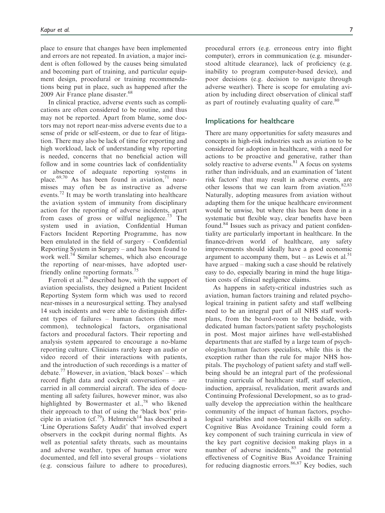place to ensure that changes have been implemented and errors are not repeated. In aviation, a major incident is often followed by the causes being simulated and becoming part of training, and particular equipment design, procedural or training recommendations being put in place, such as happened after the 2009 Air France plane disaster.<sup>68</sup>

In clinical practice, adverse events such as complications are often considered to be routine, and thus may not be reported. Apart from blame, some doctors may not report near-miss adverse events due to a sense of pride or self-esteem, or due to fear of litigation. There may also be lack of time for reporting and high workload, lack of understanding why reporting is needed, concerns that no beneficial action will follow and in some countries lack of confidentiality or absence of adequate reporting systems in place. $69,70$  As has been found in aviation, $71$  nearmisses may often be as instructive as adverse events.<sup>72</sup> It may be worth translating into healthcare the aviation system of immunity from disciplinary action for the reporting of adverse incidents, apart from cases of gross or wilful negligence.<sup>73</sup> The system used in aviation, Confidential Human Factors Incident Reporting Programme, has now been emulated in the field of surgery – Confidential Reporting System in Surgery – and has been found to work well.<sup>74</sup> Similar schemes, which also encourage the reporting of near-misses, have adopted userfriendly online reporting formats.<sup>75</sup>

Ferroli et al.<sup>76</sup> described how, with the support of aviation specialists, they designed a Patient Incident Reporting System form which was used to record near-misses in a neurosurgical setting. They analysed 14 such incidents and were able to distinguish different types of failures – human factors (the most common), technological factors, organisational factors and procedural factors. Their reporting and analysis system appeared to encourage a no-blame reporting culture. Clinicians rarely keep an audio or video record of their interactions with patients, and the introduction of such recordings is a matter of debate.<sup>77</sup> However, in aviation, 'black boxes' – which record flight data and cockpit conversations – are carried in all commercial aircraft. The idea of documenting all safety failures, however minor, was also highlighted by Bowermaster et al.,<sup>78</sup> who likened their approach to that of using the 'black box' principle in aviation (cf.<sup>79</sup>). Helmreich<sup>14</sup> has described a 'Line Operations Safety Audit' that involved expert observers in the cockpit during normal flights. As well as potential safety threats, such as mountains and adverse weather, types of human error were documented, and fell into several groups – violations (e.g. conscious failure to adhere to procedures), procedural errors (e.g. erroneous entry into flight computer), errors in communication (e.g. misunderstood altitude clearance), lack of proficiency (e.g. inability to program computer-based device), and poor decisions (e.g. decision to navigate through adverse weather). There is scope for emulating aviation by including direct observation of clinical staff as part of routinely evaluating quality of care. $80$ 

## Implications for healthcare

There are many opportunities for safety measures and concepts in high-risk industries such as aviation to be considered for adoption in healthcare, with a need for actions to be proactive and generative, rather than solely reactive to adverse events. $81$  A focus on systems rather than individuals, and an examination of 'latent risk factors' that may result in adverse events, are other lessons that we can learn from aviation. $82,83$ Naturally, adopting measures from aviation without adapting them for the unique healthcare environment would be unwise, but where this has been done in a systematic but flexible way, clear benefits have been found.<sup>84</sup> Issues such as privacy and patient confidentiality are particularly important in healthcare. In the finance-driven world of healthcare, any safety improvements should ideally have a good economic argument to accompany them, but – as Lewis et al. $51$ have argued – making such a case should be relatively easy to do, especially bearing in mind the huge litigation costs of clinical negligence claims.

As happens in safety-critical industries such as aviation, human factors training and related psychological training in patient safety and staff wellbeing need to be an integral part of all NHS staff workplans, from the board-room to the bedside, with dedicated human factors/patient safety psychologists in post. Most major airlines have well-established departments that are staffed by a large team of psychologists/human factors specialists, while this is the exception rather than the rule for major NHS hospitals. The psychology of patient safety and staff wellbeing should be an integral part of the professional training curricula of healthcare staff, staff selection, induction, appraisal, revalidation, merit awards and Continuing Professional Development, so as to gradually develop the appreciation within the healthcare community of the impact of human factors, psychological variables and non-technical skills on safety. Cognitive Bias Avoidance Training could form a key component of such training curricula in view of the key part cognitive decision making plays in a number of adverse incidents, $85$  and the potential effectiveness of Cognitive Bias Avoidance Training for reducing diagnostic errors.<sup>86,87</sup> Key bodies, such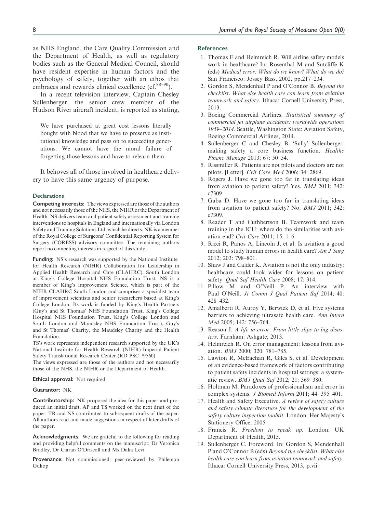as NHS England, the Care Quality Commission and the Department of Health, as well as regulatory bodies such as the General Medical Council, should have resident expertise in human factors and the psychology of safety, together with an ethos that embraces and rewards clinical excellence (cf.<sup>88–90</sup>).

In a recent television interview, Captain Chesley Sullenberger, the senior crew member of the Hudson River aircraft incident, is reported as stating,

We have purchased at great cost lessons literally bought with blood that we have to preserve as institutional knowledge and pass on to succeeding generations. We cannot have the moral failure of forgetting those lessons and have to relearn them.

It behoves all of those involved in healthcare delivery to have this same urgency of purpose.

#### **Declarations**

Competing interests: The views expressed are those of the authors and not necessarily those of the NHS, the NIHR or the Department of Health. NS delivers team and patient safety assessment and training interventions to hospitals in England and internationally via London Safety and Training Solutions Ltd, which he directs. NK is a member of the Royal College of Surgeons' Confidential Reporting System for Surgery (CORESS) advisory committee. The remaining authors report no competing interests in respect of this study.

Funding: NS's research was supported by the National Institute for Health Research (NIHR) Collaboration for Leadership in Applied Health Research and Care (CLAHRC), South London at King's College Hospital NHS Foundation Trust. NS is a member of King's Improvement Science, which is part of the NIHR CLAHRC South London and comprises a specialist team of improvement scientists and senior researchers based at King's College London. Its work is funded by King's Health Partners (Guy's and St Thomas' NHS Foundation Trust, King's College Hospital NHS Foundation Trust, King's College London and South London and Maudsley NHS Foundation Trust), Guy's and St Thomas' Charity, the Maudsley Charity and the Health Foundation.

TS's work represents independent research supported by the UK's National Institute for Health Research (NIHR) Imperial Patient Safety Translational Research Center (RD PSC 79560).

The views expressed are those of the authors and not necessarily those of the NHS, the NIHR or the Department of Health.

#### Ethical approval: Not required

#### Guarantor: NK

Contributorship: NK proposed the idea for this paper and produced an initial draft. AP and TS worked on the next draft of the paper. TR and NS contributed to subsequent drafts of the paper. All authors read and made suggestions in respect of later drafts of the paper.

Acknowledgments: We are grateful to the following for reading and providing helpful comments on the manuscript: Dr Veronica Bradley, Dr Ciaran O'Driscoll and Ms Dalia Levi.

Provenance: Not commissioned; peer-reviewed by Philemon Gukop

#### **References**

- 1. Thomas E and Helmreich R. Will airline safety models work in healthcare? In: Rosenthal M and Sutcliffe K (eds) Medical error: What do we know? What do we do? San Francisco: Jossey Bass, 2002, pp.217–234.
- 2. Gordon S, Mendenhall P and O'Connor B. Beyond the checklist. What else health care can learn from aviation teamwork and safety. Ithaca: Cornell University Press, 2013.
- 3. Boeing Commercial Airlines. Statistical summary of commercial jet airplane accidents: worldwide operations 1959–2014. Seattle, Washington State: Aviation Safety, Boeing Commercial Airlines, 2014.
- 4. Sullenberger C and Chesley B. 'Sully' Sullenberger: making safety a core business function. Healthc Financ Manage 2013; 67: 50–54.
- 5. Rissmiller R. Patients are not pilots and doctors are not pilots. [Letter]. Crit Care Med 2006; 34: 2869.
- 6. Rogers J. Have we gone too far in translating ideas from aviation to patient safety? Yes. BMJ 2011; 342: c7309.
- 7. Gaba D. Have we gone too far in translating ideas from aviation to patient safety? No. BMJ 2011; 342: c7309.
- 8. Reader T and Cuthbertson B. Teamwork and team training in the ICU: where do the similarities with aviation end? Crit Care 2011; 15: 1–6.
- 9. Ricci R, Panos A, Lincoln J, et al. Is aviation a good model to study human errors in health care? Am J Surg 2012; 203: 798–801.
- 10. Shaw J and Calder K. Aviation is not the only industry: healthcare could look wider for lessons on patient safety. Qual Saf Health Care 2008; 17: 314.
- 11. Pillow M and O'Neill P. An interview with Paul O'Neill. Jt Comm J Qual Patient Saf 2014; 40: 428–432.
- 12. Amalberti R, Auroy Y, Berwick D, et al. Five systems barriers to achieving ultrasafe health care. Ann Intern Med 2005; 142: 756–764.
- 13. Reason J. A life in error. From little slips to big disasters. Farnham: Ashgate, 2013.
- 14. Helmreich R. On error management: lessons from aviation. BMJ 2000; 320: 781–785.
- 15. Lawton R, McEachan R, Giles S, et al. Development of an evidence-based framework of factors contributing to patient safety incidents in hospital settings: a systematic review. BMJ Qual Saf 2012; 21: 369–380.
- 16. Holtman M. Paradoxes of professionalism and error in complex systems. J Biomed Inform 2011; 44: 395–401.
- 17. Health and Safety Executive. A review of safety culture and safety climate literature for the development of the safety culture inspection toolkit. London: Her Majesty's Stationery Office, 2005.
- 18. Francis R. Freedom to speak up. London: UK Department of Health, 2015.
- 19. Sullenberger C. Foreword. In: Gordon S, Mendenhall P and O'Connor B (eds) Beyond the checklist. What else health care can learn from aviation teamwork and safety. Ithaca: Cornell University Press, 2013, p.vii.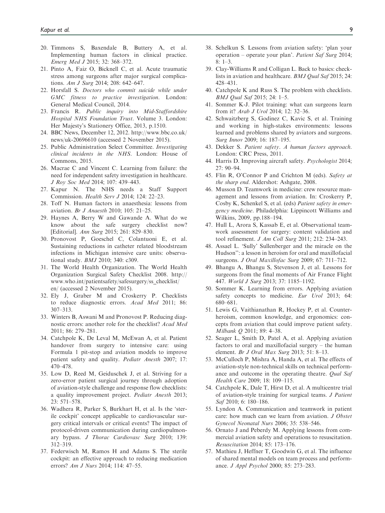- 20. Timmons S, Baxendale B, Buttery A, et al. Implementing human factors in clinical practice. Emerg Med J 2015; 32: 368–372.
- 21. Pinto A, Faiz O, Bicknell C, et al. Acute traumatic stress among surgeons after major surgical complications. Am J Surg 2014; 208: 642–647.
- 22. Horsfall S. Doctors who commit suicide while under GMC fitness to practice investigation. London: General Medical Council, 2014.
- 23. Francis R. Public inquiry into Mid-Staffordshire Hospital NHS Foundation Trust. Volume 3. London: Her Majesty's Stationery Office, 2013, p.1510.
- 24. BBC News, December 12, 2012. [http://www.bbc.co.uk/](http://www.bbc.co.uk/news/uk-20696610) [news/uk-20696610](http://www.bbc.co.uk/news/uk-20696610) (accessed 2 November 2015).
- 25. Public Administration Select Committee. Investigating clinical incidents in the NHS. London: House of Commons, 2015.
- 26. Macrae C and Vincent C. Learning from failure: the need for independent safety investigation in healthcare. J Roy Soc Med 2014; 107: 439–443.
- 27. Kapur N. The NHS needs a Staff Support Commission. Health Serv J 2014; 124: 22–23.
- 28. Toff N. Human factors in anaesthesia: lessons from aviation. Br J Anaesth 2010; 105: 21–25.
- 29. Haynes A, Berry W and Gawande A. What do we know about the safe surgery checklist now? [Editorial]. Ann Surg 2015; 261: 829–830.
- 30. Pronovost P, Goeschel C, Colantuoni E, et al. Sustaining reductions in catheter related bloodstream infections in Michigan intensive care units: observational study. BMJ 2010; 340: c309.
- 31. The World Health Organization. The World Health Organization Surgical Safety Checklist 2008. [http://](http://www.who.int/patientsafety/safesurgery/ss_checklist/en/) [www.who.int/patientsafety/safesurgery/ss\\_checklist/](http://www.who.int/patientsafety/safesurgery/ss_checklist/en/) [en/](http://www.who.int/patientsafety/safesurgery/ss_checklist/en/) (accessed 2 November 2015).
- 32. Ely J, Graber M and Croskerry P. Checklists to reduce diagnostic errors. Acad Med 2011; 86: 307–313.
- 33. Winters B, Aswani M and Pronovost P. Reducing diagnostic errors: another role for the checklist? Acad Med 2011; 86: 279–281.
- 34. Catchpole K, De Leval M, McEwan A, et al. Patient handover from surgery to intensive care: using Formula 1 pit-stop and aviation models to improve patient safety and quality. Pediatr Anesth 2007; 17: 470–478.
- 35. Low D, Reed M, Geiduschek J, et al. Striving for a zero-error patient surgical journey through adoption of aviation-style challenge and response flow checklists: a quality improvement project. Pediatr Anesth 2013; 23: 571–578.
- 36. Wadhera R, Parker S, Burkhart H, et al. Is the 'sterile cockpit' concept applicable to cardiovascular surgery critical intervals or critical events? The impact of protocol-driven communication during cardiopulmonary bypass. J Thorac Cardiovasc Surg 2010; 139: 312–319.
- 37. Federwisch M, Ramos H and Adams S. The sterile cockpit: an effective approach to reducing medication errors? Am J Nurs 2014; 114: 47–55.
- 38. Schelkun S. Lessons from aviation safety: 'plan your operation – operate your plan'. Patient Saf Surg 2014;  $8: 1-3$
- 39. Clay-Williams R and Colligan L. Back to basics: checklists in aviation and healthcare. BMJ Qual Saf 2015; 24: 428–431.
- 40. Catchpole K and Russ S. The problem with checklists. BMJ Qual Saf 2015; 24: 1–5.
- 41. Sommer K-J. Pilot training: what can surgeons learn from it? Arab J Urol 2014; 12: 32–36.
- 42. Schwaitzberg S, Godinez C, Kavic S, et al. Training and working in high-stakes environments: lessons learned and problems shared by aviators and surgeons. Surg Innov 2009; 16: 187–195.
- 43. Dekker S. Patient safety. A human factors approach. London: CRC Press, 2011.
- 44. Harris D. Improving aircraft safety. Psychologist 2014; 27: 90–94.
- 45. Flin R, O'Connor P and Crichton M (eds). Safety at the sharp end. Aldershot: Ashgate, 2008.
- 46. Musson D. Teamwork in medicine: crew resource management and lessons from aviation. In: Croskerry P, Cosby K, Schenkel S, et al. (eds) Patient safety in emergency medicine. Philadelphia: Lippincott Williams and Wilkins, 2009, pp.188–194.
- 47. Hull L, Arora S, Kassab E, et al. Observational teamwork assessment for surgery: content validation and tool refinement. J Am Coll Surg 2011; 212: 234–243.
- 48. Assael L. 'Sully' Sullenberger and the miracle on the Hudson'': a lesson in heroism for oral and maxillofacial surgeons. J Oral Maxillofac Surg 2009; 67: 711-712.
- 49. Bhangu A, Bhangu S, Stevenson J, et al. Lessons for surgeons from the final moments of Air France Flight 447. World J Surg 2013; 37: 1185–1192.
- 50. Sommer K. Learning from errors. Applying aviation safety concepts to medicine. Eur Urol 2013; 64: 680–681.
- 51. Lewis G, Vaithianathan R, Hockey P, et al. Counterheroism, common knowledge, and ergonomics: concepts from aviation that could improve patient safety. Milbank Q 2011; 89: 4–38.
- 52. Seager L, Smith D, Patel A, et al. Applying aviation factors to oral and maxillofacial surgery – the human element. Br J Oral Max Surg 2013; 51: 8–13.
- 53. McCulloch P, Mishra A, Handa A, et al. The effects of aviation-style non-technical skills on technical performance and outcome in the operating theatre. Qual Saf Health Care 2009; 18: 109–115.
- 54. Catchpole K, Dale T, Hirst D, et al. A multicentre trial of aviation-style training for surgical teams. J Patient Saf 2010; 6: 180–186.
- 55. Lyndon A. Communication and teamwork in patient care: how much can we learn from aviation. J Obstet Gynecol Neonatal Nurs 2006; 35: 538–546.
- 56. Ornato J and Peberdy M. Applying lessons from commercial aviation safety and operations to resuscitation. Resuscitation 2014; 85: 173–176.
- 57. Mathieu J, Heffner T, Goodwin G, et al. The influence of shared mental models on team process and performance. J Appl Psychol 2000; 85: 273–283.